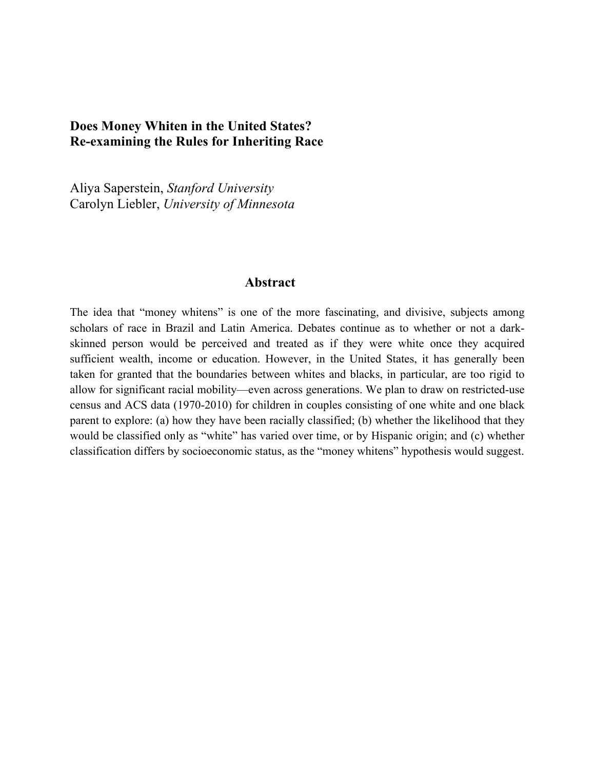# **Does Money Whiten in the United States? Re-examining the Rules for Inheriting Race**

Aliya Saperstein, *Stanford University* Carolyn Liebler, *University of Minnesota*

### **Abstract**

The idea that "money whitens" is one of the more fascinating, and divisive, subjects among scholars of race in Brazil and Latin America. Debates continue as to whether or not a darkskinned person would be perceived and treated as if they were white once they acquired sufficient wealth, income or education. However, in the United States, it has generally been taken for granted that the boundaries between whites and blacks, in particular, are too rigid to allow for significant racial mobility—even across generations. We plan to draw on restricted-use census and ACS data (1970-2010) for children in couples consisting of one white and one black parent to explore: (a) how they have been racially classified; (b) whether the likelihood that they would be classified only as "white" has varied over time, or by Hispanic origin; and (c) whether classification differs by socioeconomic status, as the "money whitens" hypothesis would suggest.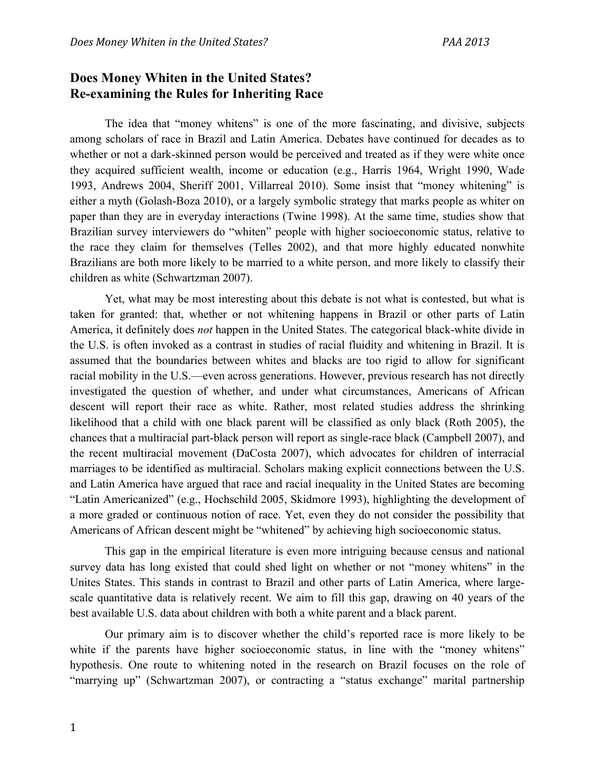# **Does Money Whiten in the United States? Re-examining the Rules for Inheriting Race**

The idea that "money whitens" is one of the more fascinating, and divisive, subjects among scholars of race in Brazil and Latin America. Debates have continued for decades as to whether or not a dark-skinned person would be perceived and treated as if they were white once they acquired sufficient wealth, income or education (e.g., Harris 1964, Wright 1990, Wade 1993, Andrews 2004, Sheriff 2001, Villarreal 2010). Some insist that "money whitening" is either a myth (Golash-Boza 2010), or a largely symbolic strategy that marks people as whiter on paper than they are in everyday interactions (Twine 1998). At the same time, studies show that Brazilian survey interviewers do "whiten" people with higher socioeconomic status, relative to the race they claim for themselves (Telles 2002), and that more highly educated nonwhite Brazilians are both more likely to be married to a white person, and more likely to classify their children as white (Schwartzman 2007).

Yet, what may be most interesting about this debate is not what is contested, but what is taken for granted: that, whether or not whitening happens in Brazil or other parts of Latin America, it definitely does *not* happen in the United States. The categorical black-white divide in the U.S. is often invoked as a contrast in studies of racial fluidity and whitening in Brazil. It is assumed that the boundaries between whites and blacks are too rigid to allow for significant racial mobility in the U.S.—even across generations. However, previous research has not directly investigated the question of whether, and under what circumstances, Americans of African descent will report their race as white. Rather, most related studies address the shrinking likelihood that a child with one black parent will be classified as only black (Roth 2005), the chances that a multiracial part-black person will report as single-race black (Campbell 2007), and the recent multiracial movement (DaCosta 2007), which advocates for children of interracial marriages to be identified as multiracial. Scholars making explicit connections between the U.S. and Latin America have argued that race and racial inequality in the United States are becoming "Latin Americanized" (e.g., Hochschild 2005, Skidmore 1993), highlighting the development of a more graded or continuous notion of race. Yet, even they do not consider the possibility that Americans of African descent might be "whitened" by achieving high socioeconomic status.

This gap in the empirical literature is even more intriguing because census and national survey data has long existed that could shed light on whether or not "money whitens" in the Unites States. This stands in contrast to Brazil and other parts of Latin America, where largescale quantitative data is relatively recent. We aim to fill this gap, drawing on 40 years of the best available U.S. data about children with both a white parent and a black parent.

Our primary aim is to discover whether the child's reported race is more likely to be white if the parents have higher socioeconomic status, in line with the "money whitens" hypothesis. One route to whitening noted in the research on Brazil focuses on the role of "marrying up" (Schwartzman 2007), or contracting a "status exchange" marital partnership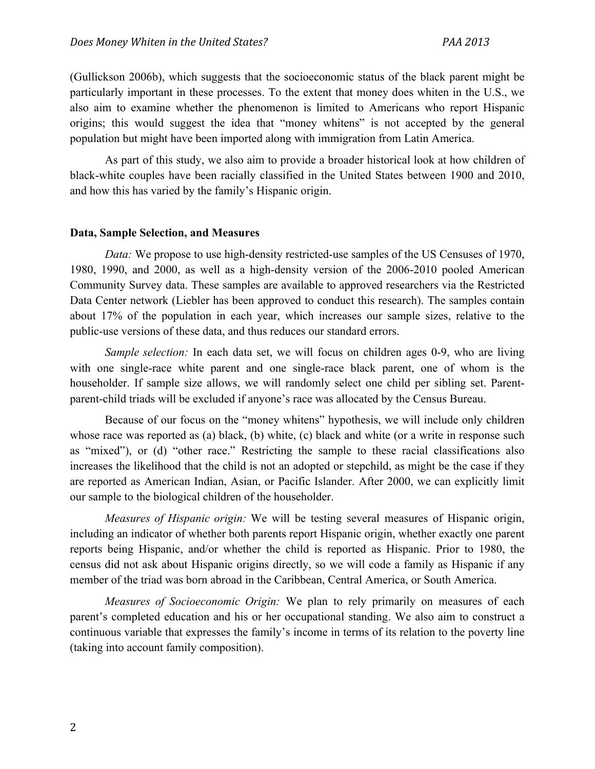(Gullickson 2006b), which suggests that the socioeconomic status of the black parent might be particularly important in these processes. To the extent that money does whiten in the U.S., we also aim to examine whether the phenomenon is limited to Americans who report Hispanic origins; this would suggest the idea that "money whitens" is not accepted by the general population but might have been imported along with immigration from Latin America.

As part of this study, we also aim to provide a broader historical look at how children of black-white couples have been racially classified in the United States between 1900 and 2010, and how this has varied by the family's Hispanic origin.

### **Data, Sample Selection, and Measures**

*Data:* We propose to use high-density restricted-use samples of the US Censuses of 1970, 1980, 1990, and 2000, as well as a high-density version of the 2006-2010 pooled American Community Survey data. These samples are available to approved researchers via the Restricted Data Center network (Liebler has been approved to conduct this research). The samples contain about 17% of the population in each year, which increases our sample sizes, relative to the public-use versions of these data, and thus reduces our standard errors.

*Sample selection:* In each data set, we will focus on children ages 0-9, who are living with one single-race white parent and one single-race black parent, one of whom is the householder. If sample size allows, we will randomly select one child per sibling set. Parentparent-child triads will be excluded if anyone's race was allocated by the Census Bureau.

Because of our focus on the "money whitens" hypothesis, we will include only children whose race was reported as (a) black, (b) white, (c) black and white (or a write in response such as "mixed"), or (d) "other race." Restricting the sample to these racial classifications also increases the likelihood that the child is not an adopted or stepchild, as might be the case if they are reported as American Indian, Asian, or Pacific Islander. After 2000, we can explicitly limit our sample to the biological children of the householder.

*Measures of Hispanic origin:* We will be testing several measures of Hispanic origin, including an indicator of whether both parents report Hispanic origin, whether exactly one parent reports being Hispanic, and/or whether the child is reported as Hispanic. Prior to 1980, the census did not ask about Hispanic origins directly, so we will code a family as Hispanic if any member of the triad was born abroad in the Caribbean, Central America, or South America.

*Measures of Socioeconomic Origin:* We plan to rely primarily on measures of each parent's completed education and his or her occupational standing. We also aim to construct a continuous variable that expresses the family's income in terms of its relation to the poverty line (taking into account family composition).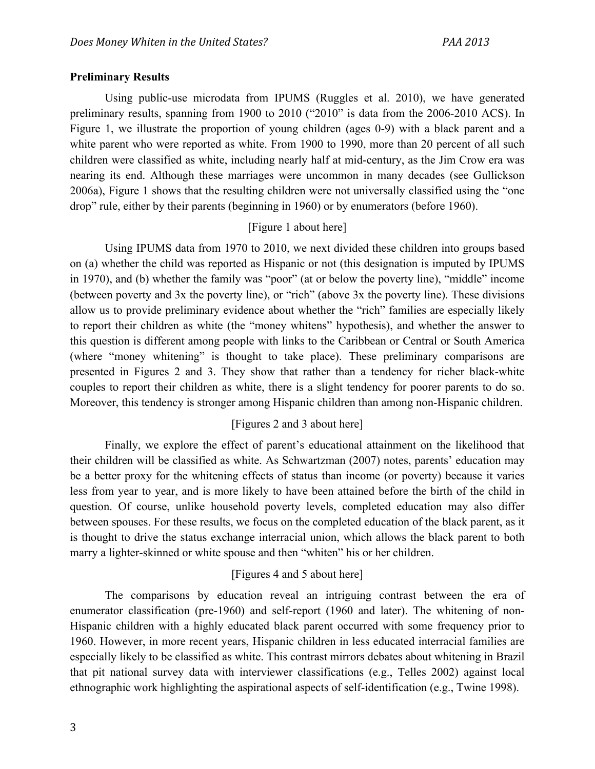### **Preliminary Results**

Using public-use microdata from IPUMS (Ruggles et al. 2010), we have generated preliminary results, spanning from 1900 to 2010 ("2010" is data from the 2006-2010 ACS). In Figure 1, we illustrate the proportion of young children (ages 0-9) with a black parent and a white parent who were reported as white. From 1900 to 1990, more than 20 percent of all such children were classified as white, including nearly half at mid-century, as the Jim Crow era was nearing its end. Although these marriages were uncommon in many decades (see Gullickson 2006a), Figure 1 shows that the resulting children were not universally classified using the "one drop" rule, either by their parents (beginning in 1960) or by enumerators (before 1960).

## [Figure 1 about here]

Using IPUMS data from 1970 to 2010, we next divided these children into groups based on (a) whether the child was reported as Hispanic or not (this designation is imputed by IPUMS in 1970), and (b) whether the family was "poor" (at or below the poverty line), "middle" income (between poverty and 3x the poverty line), or "rich" (above 3x the poverty line). These divisions allow us to provide preliminary evidence about whether the "rich" families are especially likely to report their children as white (the "money whitens" hypothesis), and whether the answer to this question is different among people with links to the Caribbean or Central or South America (where "money whitening" is thought to take place). These preliminary comparisons are presented in Figures 2 and 3. They show that rather than a tendency for richer black-white couples to report their children as white, there is a slight tendency for poorer parents to do so. Moreover, this tendency is stronger among Hispanic children than among non-Hispanic children.

## [Figures 2 and 3 about here]

Finally, we explore the effect of parent's educational attainment on the likelihood that their children will be classified as white. As Schwartzman (2007) notes, parents' education may be a better proxy for the whitening effects of status than income (or poverty) because it varies less from year to year, and is more likely to have been attained before the birth of the child in question. Of course, unlike household poverty levels, completed education may also differ between spouses. For these results, we focus on the completed education of the black parent, as it is thought to drive the status exchange interracial union, which allows the black parent to both marry a lighter-skinned or white spouse and then "whiten" his or her children.

### [Figures 4 and 5 about here]

The comparisons by education reveal an intriguing contrast between the era of enumerator classification (pre-1960) and self-report (1960 and later). The whitening of non-Hispanic children with a highly educated black parent occurred with some frequency prior to 1960. However, in more recent years, Hispanic children in less educated interracial families are especially likely to be classified as white. This contrast mirrors debates about whitening in Brazil that pit national survey data with interviewer classifications (e.g., Telles 2002) against local ethnographic work highlighting the aspirational aspects of self-identification (e.g., Twine 1998).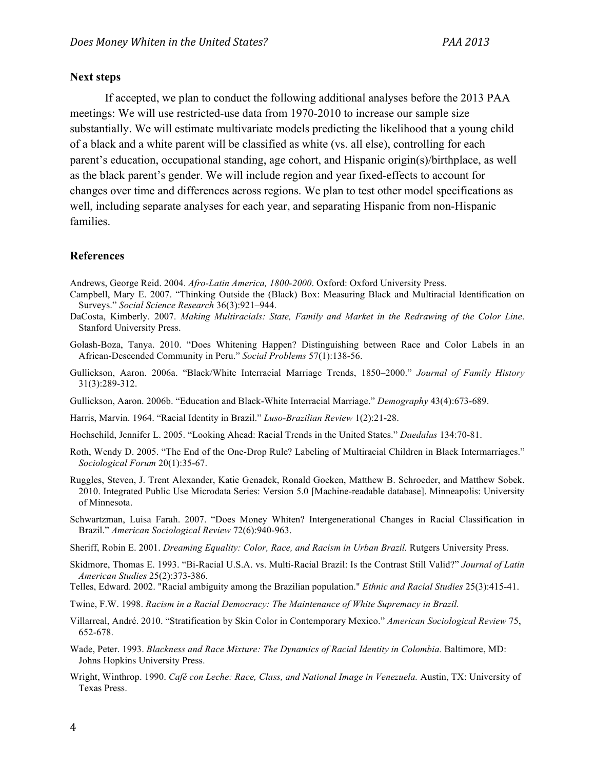#### **Next steps**

If accepted, we plan to conduct the following additional analyses before the 2013 PAA meetings: We will use restricted-use data from 1970-2010 to increase our sample size substantially. We will estimate multivariate models predicting the likelihood that a young child of a black and a white parent will be classified as white (vs. all else), controlling for each parent's education, occupational standing, age cohort, and Hispanic origin(s)/birthplace, as well as the black parent's gender. We will include region and year fixed-effects to account for changes over time and differences across regions. We plan to test other model specifications as well, including separate analyses for each year, and separating Hispanic from non-Hispanic families.

#### **References**

Andrews, George Reid. 2004. *Afro-Latin America, 1800-2000*. Oxford: Oxford University Press.

- Campbell, Mary E. 2007. "Thinking Outside the (Black) Box: Measuring Black and Multiracial Identification on Surveys." *Social Science Research* 36(3):921–944.
- DaCosta, Kimberly. 2007. *Making Multiracials: State, Family and Market in the Redrawing of the Color Line*. Stanford University Press.
- Golash-Boza, Tanya. 2010. "Does Whitening Happen? Distinguishing between Race and Color Labels in an African-Descended Community in Peru." *Social Problems* 57(1):138-56.
- Gullickson, Aaron. 2006a. "Black/White Interracial Marriage Trends, 1850–2000." *Journal of Family History* 31(3):289-312.
- Gullickson, Aaron. 2006b. "Education and Black-White Interracial Marriage." *Demography* 43(4):673-689.
- Harris, Marvin. 1964. "Racial Identity in Brazil." *Luso-Brazilian Review* 1(2):21-28.
- Hochschild, Jennifer L. 2005. "Looking Ahead: Racial Trends in the United States." *Daedalus* 134:70-81.
- Roth, Wendy D. 2005. "The End of the One-Drop Rule? Labeling of Multiracial Children in Black Intermarriages." *Sociological Forum* 20(1):35-67.
- Ruggles, Steven, J. Trent Alexander, Katie Genadek, Ronald Goeken, Matthew B. Schroeder, and Matthew Sobek. 2010. Integrated Public Use Microdata Series: Version 5.0 [Machine-readable database]. Minneapolis: University of Minnesota.
- Schwartzman, Luisa Farah. 2007. "Does Money Whiten? Intergenerational Changes in Racial Classification in Brazil." *American Sociological Review* 72(6):940-963.
- Sheriff, Robin E. 2001. *Dreaming Equality: Color, Race, and Racism in Urban Brazil.* Rutgers University Press.
- Skidmore, Thomas E. 1993. "Bi-Racial U.S.A. vs. Multi-Racial Brazil: Is the Contrast Still Valid?" *Journal of Latin American Studies* 25(2):373-386.
- Telles, Edward. 2002. "Racial ambiguity among the Brazilian population." *Ethnic and Racial Studies* 25(3):415-41.
- Twine, F.W. 1998. *Racism in a Racial Democracy: The Maintenance of White Supremacy in Brazil.*
- Villarreal, André. 2010. "Stratification by Skin Color in Contemporary Mexico." *American Sociological Review* 75, 652-678.
- Wade, Peter. 1993. *Blackness and Race Mixture: The Dynamics of Racial Identity in Colombia.* Baltimore, MD: Johns Hopkins University Press.
- Wright, Winthrop. 1990. *Café con Leche: Race, Class, and National Image in Venezuela.* Austin, TX: University of Texas Press.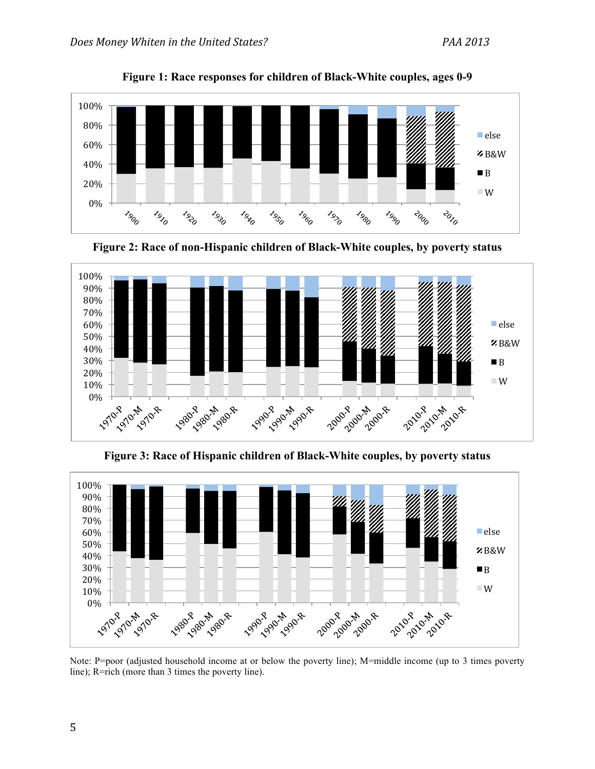

**Figure 1: Race responses for children of Black-White couples, ages 0-9**

**Figure 2: Race of non-Hispanic children of Black-White couples, by poverty status** 



**Figure 3: Race of Hispanic children of Black-White couples, by poverty status** 



Note: P=poor (adjusted household income at or below the poverty line); M=middle income (up to 3 times poverty line); R=rich (more than 3 times the poverty line).